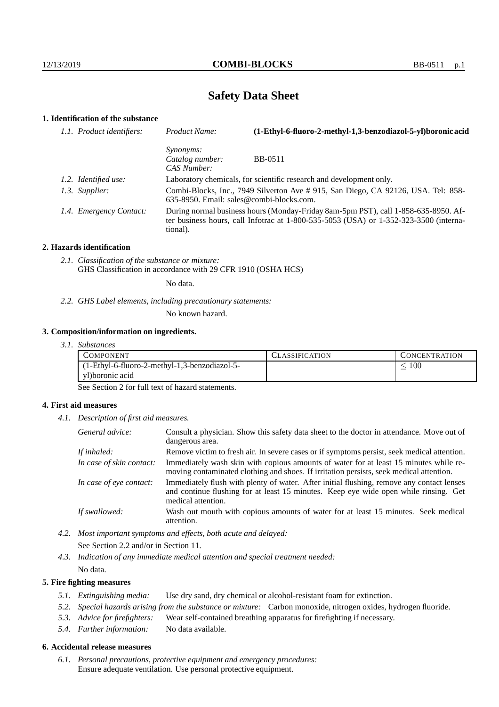# **Safety Data Sheet**

# **1. Identification of the substance**

| 1.1. Product identifiers: | Product Name:                                                                                                                 | (1-Ethyl-6-fluoro-2-methyl-1,3-benzodiazol-5-yl)boronic acid                                                                                                                    |
|---------------------------|-------------------------------------------------------------------------------------------------------------------------------|---------------------------------------------------------------------------------------------------------------------------------------------------------------------------------|
|                           | <i>Synonyms:</i><br>Catalog number:<br>CAS Number:                                                                            | BB-0511                                                                                                                                                                         |
| 1.2. Identified use:      |                                                                                                                               | Laboratory chemicals, for scientific research and development only.                                                                                                             |
| 1.3. Supplier:            | Combi-Blocks, Inc., 7949 Silverton Ave # 915, San Diego, CA 92126, USA. Tel: 858-<br>635-8950. Email: sales@combi-blocks.com. |                                                                                                                                                                                 |
| 1.4. Emergency Contact:   | tional).                                                                                                                      | During normal business hours (Monday-Friday 8am-5pm PST), call 1-858-635-8950. Af-<br>ter business hours, call Infotrac at $1-800-535-5053$ (USA) or $1-352-323-3500$ (interna- |

#### **2. Hazards identification**

*2.1. Classification of the substance or mixture:* GHS Classification in accordance with 29 CFR 1910 (OSHA HCS)

No data.

*2.2. GHS Label elements, including precautionary statements:*

No known hazard.

#### **3. Composition/information on ingredients.**

*3.1. Substances*

| COMPONENT                                     | LASSIFICATION | CONCENTRATION. |
|-----------------------------------------------|---------------|----------------|
| (1-Ethyl-6-fluoro-2-methyl-1,3-benzodiazol-5- |               | 100            |
| yl)boronic acid                               |               |                |

See Section 2 for full text of hazard statements.

#### **4. First aid measures**

*4.1. Description of first aid measures.*

| General advice:          | Consult a physician. Show this safety data sheet to the doctor in attendance. Move out of<br>dangerous area.                                                                                            |
|--------------------------|---------------------------------------------------------------------------------------------------------------------------------------------------------------------------------------------------------|
| If inhaled:              | Remove victim to fresh air. In severe cases or if symptoms persist, seek medical attention.                                                                                                             |
| In case of skin contact: | Immediately wash skin with copious amounts of water for at least 15 minutes while re-<br>moving contaminated clothing and shoes. If irritation persists, seek medical attention.                        |
| In case of eye contact:  | Immediately flush with plenty of water. After initial flushing, remove any contact lenses<br>and continue flushing for at least 15 minutes. Keep eye wide open while rinsing. Get<br>medical attention. |
| If swallowed:            | Wash out mouth with copious amounts of water for at least 15 minutes. Seek medical<br>attention.                                                                                                        |

*4.2. Most important symptoms and effects, both acute and delayed:* See Section 2.2 and/or in Section 11.

*4.3. Indication of any immediate medical attention and special treatment needed:* No data.

#### **5. Fire fighting measures**

- *5.1. Extinguishing media:* Use dry sand, dry chemical or alcohol-resistant foam for extinction.
- *5.2. Special hazards arising from the substance or mixture:* Carbon monoxide, nitrogen oxides, hydrogen fluoride.
- *5.3. Advice for firefighters:* Wear self-contained breathing apparatus for firefighting if necessary.
- *5.4. Further information:* No data available.

### **6. Accidental release measures**

*6.1. Personal precautions, protective equipment and emergency procedures:* Ensure adequate ventilation. Use personal protective equipment.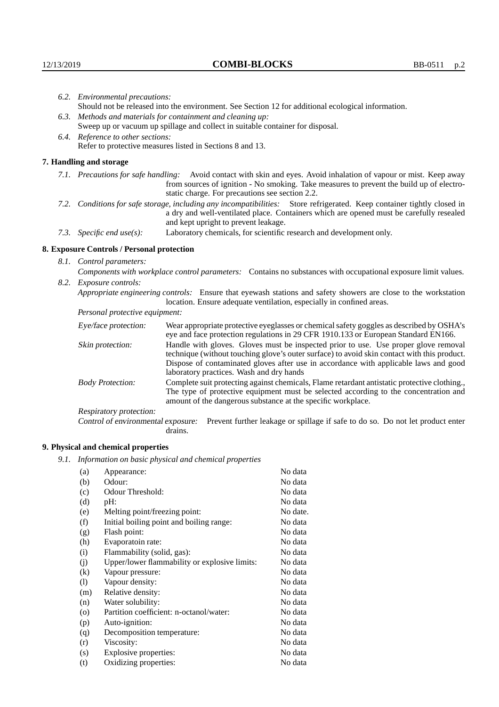| 6.2. Environmental precautions:                                                                                                                                                                                                                            |                                                                                                                                                                                                                                                                    |  |
|------------------------------------------------------------------------------------------------------------------------------------------------------------------------------------------------------------------------------------------------------------|--------------------------------------------------------------------------------------------------------------------------------------------------------------------------------------------------------------------------------------------------------------------|--|
| Should not be released into the environment. See Section 12 for additional ecological information.                                                                                                                                                         |                                                                                                                                                                                                                                                                    |  |
| 6.3. Methods and materials for containment and cleaning up:                                                                                                                                                                                                |                                                                                                                                                                                                                                                                    |  |
| Sweep up or vacuum up spillage and collect in suitable container for disposal.                                                                                                                                                                             |                                                                                                                                                                                                                                                                    |  |
| 6.4. Reference to other sections:                                                                                                                                                                                                                          |                                                                                                                                                                                                                                                                    |  |
|                                                                                                                                                                                                                                                            | Refer to protective measures listed in Sections 8 and 13.                                                                                                                                                                                                          |  |
| 7. Handling and storage                                                                                                                                                                                                                                    |                                                                                                                                                                                                                                                                    |  |
|                                                                                                                                                                                                                                                            | 7.1. Precautions for safe handling: Avoid contact with skin and eyes. Avoid inhalation of vapour or mist. Keep away<br>from sources of ignition - No smoking. Take measures to prevent the build up of electro-<br>static charge. For precautions see section 2.2. |  |
| 7.2. Conditions for safe storage, including any incompatibilities: Store refrigerated. Keep container tightly closed in<br>a dry and well-ventilated place. Containers which are opened must be carefully resealed<br>and kept upright to prevent leakage. |                                                                                                                                                                                                                                                                    |  |
| 7.3. Specific end use(s):                                                                                                                                                                                                                                  | Laboratory chemicals, for scientific research and development only.                                                                                                                                                                                                |  |
| 8. Exposure Controls / Personal protection                                                                                                                                                                                                                 |                                                                                                                                                                                                                                                                    |  |
| 8.1. Control parameters:                                                                                                                                                                                                                                   |                                                                                                                                                                                                                                                                    |  |
| Components with workplace control parameters: Contains no substances with occupational exposure limit values.                                                                                                                                              |                                                                                                                                                                                                                                                                    |  |
| 8.2. Exposure controls:                                                                                                                                                                                                                                    |                                                                                                                                                                                                                                                                    |  |
| Appropriate engineering controls: Ensure that eyewash stations and safety showers are close to the workstation<br>location. Ensure adequate ventilation, especially in confined areas.                                                                     |                                                                                                                                                                                                                                                                    |  |
| Personal protective equipment:                                                                                                                                                                                                                             |                                                                                                                                                                                                                                                                    |  |
| Eye/face protection:                                                                                                                                                                                                                                       | Wear appropriate protective eyeglasses or chemical safety goggles as described by OSHA's<br>eye and face protection regulations in 29 CFR 1910.133 or European Standard EN166.                                                                                     |  |
| Skin protection:                                                                                                                                                                                                                                           | Handle with gloves. Gloves must be inspected prior to use. Use proper glove removal<br>technique (without touching glove's outer surface) to avoid skin contact with this product.                                                                                 |  |

| Eye/face protection:               | Wear appropriate protective eyeglasses or chemical safety goggles as described by OSHA's<br>eye and face protection regulations in 29 CFR 1910.133 or European Standard EN166.                                                                                                                                         |  |  |
|------------------------------------|------------------------------------------------------------------------------------------------------------------------------------------------------------------------------------------------------------------------------------------------------------------------------------------------------------------------|--|--|
| Skin protection:                   | Handle with gloves. Gloves must be inspected prior to use. Use proper glove removal<br>technique (without touching glove's outer surface) to avoid skin contact with this product.<br>Dispose of contaminated gloves after use in accordance with applicable laws and good<br>laboratory practices. Wash and dry hands |  |  |
| <b>Body Protection:</b>            | Complete suit protecting against chemicals, Flame retardant antistatic protective clothing.,<br>The type of protective equipment must be selected according to the concentration and<br>amount of the dangerous substance at the specific workplace.                                                                   |  |  |
| Respiratory protection:            |                                                                                                                                                                                                                                                                                                                        |  |  |
| Control of environmental exposure: | Prevent further leakage or spillage if safe to do so. Do not let product enter<br>drains.                                                                                                                                                                                                                              |  |  |

# **9. Physical and chemical properties**

*9.1. Information on basic physical and chemical properties*

| (a)                        | Appearance:                                   | No data  |
|----------------------------|-----------------------------------------------|----------|
| (b)                        | Odour:                                        | No data  |
| (c)                        | Odour Threshold:                              | No data  |
| (d)                        | pH:                                           | No data  |
| (e)                        | Melting point/freezing point:                 | No date. |
| (f)                        | Initial boiling point and boiling range:      | No data  |
| (g)                        | Flash point:                                  | No data  |
| (h)                        | Evaporatoin rate:                             | No data  |
| (i)                        | Flammability (solid, gas):                    | No data  |
| (j)                        | Upper/lower flammability or explosive limits: | No data  |
| $\rm(k)$                   | Vapour pressure:                              | No data  |
| $\left( \mathrm{l}\right)$ | Vapour density:                               | No data  |
| (m)                        | Relative density:                             | No data  |
| (n)                        | Water solubility:                             | No data  |
| $\circ$                    | Partition coefficient: n-octanol/water:       | No data  |
| (p)                        | Auto-ignition:                                | No data  |
| (q)                        | Decomposition temperature:                    | No data  |
| (r)                        | Viscosity:                                    | No data  |
| (s)                        | Explosive properties:                         | No data  |
| (t)                        | Oxidizing properties:                         | No data  |